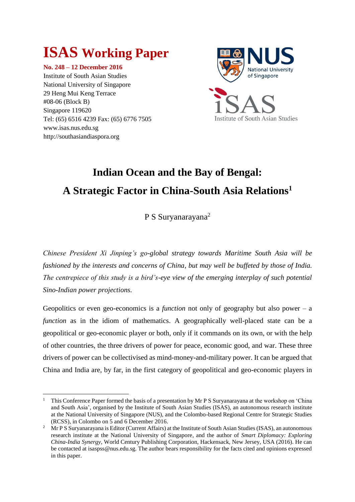# **ISAS Working Paper**

**No. 248 – 12 December 2016** Institute of South Asian Studies National University of Singapore 29 Heng Mui Keng Terrace #08-06 (Block B) Singapore 119620 Tel: (65) 6516 4239 Fax: (65) 6776 7505 www.isas.nus.edu.sg http://southasiandiaspora.org



# **Indian Ocean and the Bay of Bengal: A Strategic Factor in China-South Asia Relations<sup>1</sup>**

P S Suryanarayana<sup>2</sup>

*Chinese President Xi Jinping's go-global strategy towards Maritime South Asia will be fashioned by the interests and concerns of China, but may well be buffeted by those of India. The centrepiece of this study is a bird's-eye view of the emerging interplay of such potential Sino-Indian power projections.* 

Geopolitics or even geo-economics is a *function* not only of geography but also power – a *function* as in the idiom of mathematics. A geographically well-placed state can be a geopolitical or geo-economic player or both, only if it commands on its own, or with the help of other countries, the three drivers of power for peace, economic good, and war. These three drivers of power can be collectivised as mind-money-and-military power. It can be argued that China and India are, by far, in the first category of geopolitical and geo-economic players in

 $\overline{a}$ <sup>1</sup> This Conference Paper formed the basis of a presentation by Mr P S Suryanarayana at the workshop on 'China and South Asia', organised by the Institute of South Asian Studies (ISAS), an autonomous research institute at the National University of Singapore (NUS), and the Colombo-based Regional Centre for Strategic Studies (RCSS), in Colombo on 5 and 6 December 2016.

<sup>&</sup>lt;sup>2</sup> Mr P S Suryanarayana is Editor (Current Affairs) at the Institute of South Asian Studies (ISAS), an autonomous research institute at the National University of Singapore, and the author of *Smart Diplomacy: Exploring China-India Synergy*, World Century Publishing Corporation, Hackensack, New Jersey, USA (2016). He can be contacted at isaspss@nus.edu.sg. The author bears responsibility for the facts cited and opinions expressed in this paper.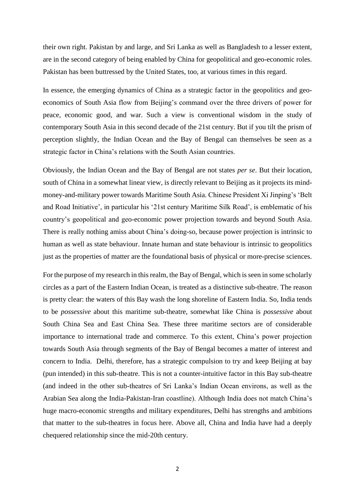their own right. Pakistan by and large, and Sri Lanka as well as Bangladesh to a lesser extent, are in the second category of being enabled by China for geopolitical and geo-economic roles. Pakistan has been buttressed by the United States, too, at various times in this regard.

In essence, the emerging dynamics of China as a strategic factor in the geopolitics and geoeconomics of South Asia flow from Beijing's command over the three drivers of power for peace, economic good, and war. Such a view is conventional wisdom in the study of contemporary South Asia in this second decade of the 21st century. But if you tilt the prism of perception slightly, the Indian Ocean and the Bay of Bengal can themselves be seen as a strategic factor in China's relations with the South Asian countries.

Obviously, the Indian Ocean and the Bay of Bengal are not states *per se*. But their location, south of China in a somewhat linear view, is directly relevant to Beijing as it projects its mindmoney-and-military power towards Maritime South Asia. Chinese President Xi Jinping's 'Belt and Road Initiative', in particular his '21st century Maritime Silk Road', is emblematic of his country's geopolitical and geo-economic power projection towards and beyond South Asia. There is really nothing amiss about China's doing-so, because power projection is intrinsic to human as well as state behaviour. Innate human and state behaviour is intrinsic to geopolitics just as the properties of matter are the foundational basis of physical or more-precise sciences.

For the purpose of my research in this realm, the Bay of Bengal, which is seen in some scholarly circles as a part of the Eastern Indian Ocean, is treated as a distinctive sub-theatre. The reason is pretty clear: the waters of this Bay wash the long shoreline of Eastern India. So, India tends to be *possessive* about this maritime sub-theatre, somewhat like China is *possessive* about South China Sea and East China Sea. These three maritime sectors are of considerable importance to international trade and commerce. To this extent, China's power projection towards South Asia through segments of the Bay of Bengal becomes a matter of interest and concern to India. Delhi, therefore, has a strategic compulsion to try and keep Beijing at bay (pun intended) in this sub-theatre. This is not a counter-intuitive factor in this Bay sub-theatre (and indeed in the other sub-theatres of Sri Lanka's Indian Ocean environs, as well as the Arabian Sea along the India-Pakistan-Iran coastline). Although India does not match China's huge macro-economic strengths and military expenditures, Delhi has strengths and ambitions that matter to the sub-theatres in focus here. Above all, China and India have had a deeply chequered relationship since the mid-20th century.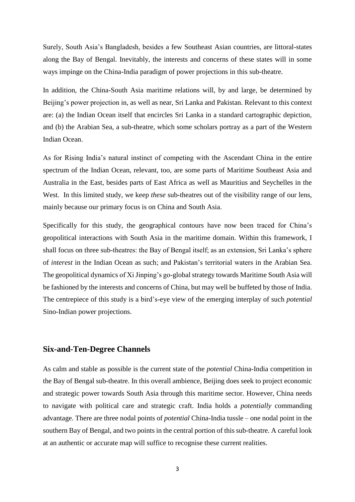Surely, South Asia's Bangladesh, besides a few Southeast Asian countries, are littoral-states along the Bay of Bengal. Inevitably, the interests and concerns of these states will in some ways impinge on the China-India paradigm of power projections in this sub-theatre.

In addition, the China-South Asia maritime relations will, by and large, be determined by Beijing's power projection in, as well as near, Sri Lanka and Pakistan. Relevant to this context are: (a) the Indian Ocean itself that encircles Sri Lanka in a standard cartographic depiction, and (b) the Arabian Sea, a sub-theatre, which some scholars portray as a part of the Western Indian Ocean.

As for Rising India's natural instinct of competing with the Ascendant China in the entire spectrum of the Indian Ocean, relevant, too, are some parts of Maritime Southeast Asia and Australia in the East, besides parts of East Africa as well as Mauritius and Seychelles in the West. In this limited study, we keep *these* sub-theatres out of the visibility range of our lens, mainly because our primary focus is on China and South Asia.

Specifically for this study, the geographical contours have now been traced for China's geopolitical interactions with South Asia in the maritime domain. Within this framework, I shall focus on three sub-theatres: the Bay of Bengal itself; as an extension, Sri Lanka's sphere of *interest* in the Indian Ocean as such; and Pakistan's territorial waters in the Arabian Sea. The geopolitical dynamics of Xi Jinping's go-global strategy towards Maritime South Asia will be fashioned by the interests and concerns of China, but may well be buffeted by those of India. The centrepiece of this study is a bird's-eye view of the emerging interplay of such *potential* Sino-Indian power projections.

#### **Six-and-Ten-Degree Channels**

As calm and stable as possible is the current state of the *potential* China-India competition in the Bay of Bengal sub-theatre. In this overall ambience, Beijing does seek to project economic and strategic power towards South Asia through this maritime sector. However, China needs to navigate with political care and strategic craft. India holds a *potentially* commanding advantage. There are three nodal points of *potential* China-India tussle – one nodal point in the southern Bay of Bengal, and two points in the central portion of this sub-theatre. A careful look at an authentic or accurate map will suffice to recognise these current realities.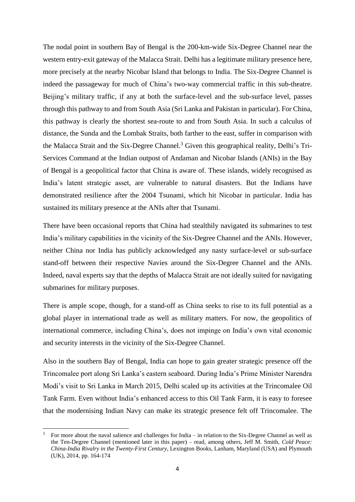The nodal point in southern Bay of Bengal is the 200-km-wide Six-Degree Channel near the western entry-exit gateway of the Malacca Strait. Delhi has a legitimate military presence here, more precisely at the nearby Nicobar Island that belongs to India. The Six-Degree Channel is indeed the passageway for much of China's two-way commercial traffic in this sub-theatre. Beijing's military traffic, if any at both the surface-level and the sub-surface level, passes through this pathway to and from South Asia (Sri Lanka and Pakistan in particular). For China, this pathway is clearly the shortest sea-route to and from South Asia. In such a calculus of distance, the Sunda and the Lombak Straits, both farther to the east, suffer in comparison with the Malacca Strait and the Six-Degree Channel.<sup>3</sup> Given this geographical reality, Delhi's Tri-Services Command at the Indian outpost of Andaman and Nicobar Islands (ANIs) in the Bay of Bengal is a geopolitical factor that China is aware of. These islands, widely recognised as India's latent strategic asset, are vulnerable to natural disasters. But the Indians have demonstrated resilience after the 2004 Tsunami, which hit Nicobar in particular. India has sustained its military presence at the ANIs after that Tsunami.

There have been occasional reports that China had stealthily navigated its submarines to test India's military capabilities in the vicinity of the Six-Degree Channel and the ANIs. However, neither China nor India has publicly acknowledged any nasty surface-level or sub-surface stand-off between their respective Navies around the Six-Degree Channel and the ANIs. Indeed, naval experts say that the depths of Malacca Strait are not ideally suited for navigating submarines for military purposes.

There is ample scope, though, for a stand-off as China seeks to rise to its full potential as a global player in international trade as well as military matters. For now, the geopolitics of international commerce, including China's, does not impinge on India's own vital economic and security interests in the vicinity of the Six-Degree Channel.

Also in the southern Bay of Bengal, India can hope to gain greater strategic presence off the Trincomalee port along Sri Lanka's eastern seaboard. During India's Prime Minister Narendra Modi's visit to Sri Lanka in March 2015, Delhi scaled up its activities at the Trincomalee Oil Tank Farm. Even without India's enhanced access to this Oil Tank Farm, it is easy to foresee that the modernising Indian Navy can make its strategic presence felt off Trincomalee. The

<sup>3</sup> For more about the naval salience and challenges for India – in relation to the Six-Degree Channel as well as the Ten-Degree Channel (mentioned later in this paper) – read, among others, Jeff M. Smith, *Cold Peace: China-India Rivalry in the Twenty-First Century*, Lexington Books, Lanham, Maryland (USA) and Plymouth (UK), 2014, pp. 164-174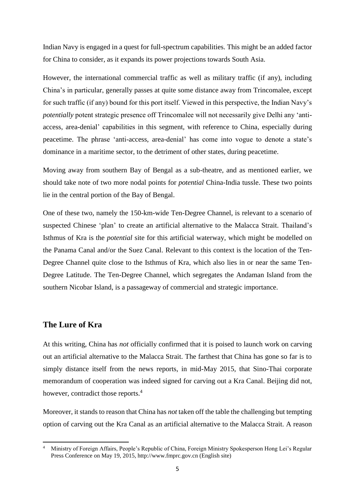Indian Navy is engaged in a quest for full-spectrum capabilities. This might be an added factor for China to consider, as it expands its power projections towards South Asia.

However, the international commercial traffic as well as military traffic (if any), including China's in particular, generally passes at quite some distance away from Trincomalee, except for such traffic (if any) bound for this port itself. Viewed in this perspective, the Indian Navy's *potentially* potent strategic presence off Trincomalee will not necessarily give Delhi any 'antiaccess, area-denial' capabilities in this segment, with reference to China, especially during peacetime. The phrase 'anti-access, area-denial' has come into vogue to denote a state's dominance in a maritime sector, to the detriment of other states, during peacetime.

Moving away from southern Bay of Bengal as a sub-theatre, and as mentioned earlier, we should take note of two more nodal points for *potential* China-India tussle. These two points lie in the central portion of the Bay of Bengal.

One of these two, namely the 150-km-wide Ten-Degree Channel, is relevant to a scenario of suspected Chinese 'plan' to create an artificial alternative to the Malacca Strait. Thailand's Isthmus of Kra is the *potential* site for this artificial waterway, which might be modelled on the Panama Canal and/or the Suez Canal. Relevant to this context is the location of the Ten-Degree Channel quite close to the Isthmus of Kra, which also lies in or near the same Ten-Degree Latitude. The Ten-Degree Channel, which segregates the Andaman Island from the southern Nicobar Island, is a passageway of commercial and strategic importance.

# **The Lure of Kra**

**.** 

At this writing, China has *not* officially confirmed that it is poised to launch work on carving out an artificial alternative to the Malacca Strait. The farthest that China has gone so far is to simply distance itself from the news reports, in mid-May 2015, that Sino-Thai corporate memorandum of cooperation was indeed signed for carving out a Kra Canal. Beijing did not, however, contradict those reports.<sup>4</sup>

Moreover, it stands to reason that China has *not* taken off the table the challenging but tempting option of carving out the Kra Canal as an artificial alternative to the Malacca Strait. A reason

<sup>4</sup> Ministry of Foreign Affairs, People's Republic of China, Foreign Ministry Spokesperson Hong Lei's Regular Press Conference on May 19, 2015, http://www.fmprc.gov.cn (English site)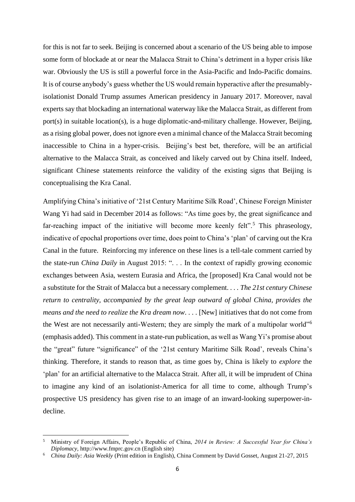for this is not far to seek. Beijing is concerned about a scenario of the US being able to impose some form of blockade at or near the Malacca Strait to China's detriment in a hyper crisis like war. Obviously the US is still a powerful force in the Asia-Pacific and Indo-Pacific domains. It is of course anybody's guess whether the US would remain hyperactive after the presumablyisolationist Donald Trump assumes American presidency in January 2017. Moreover, naval experts say that blockading an international waterway like the Malacca Strait, as different from port(s) in suitable location(s), is a huge diplomatic-and-military challenge. However, Beijing, as a rising global power, does not ignore even a minimal chance of the Malacca Strait becoming inaccessible to China in a hyper-crisis. Beijing's best bet, therefore, will be an artificial alternative to the Malacca Strait, as conceived and likely carved out by China itself. Indeed, significant Chinese statements reinforce the validity of the existing signs that Beijing is conceptualising the Kra Canal.

Amplifying China's initiative of '21st Century Maritime Silk Road', Chinese Foreign Minister Wang Yi had said in December 2014 as follows: "As time goes by, the great significance and far-reaching impact of the initiative will become more keenly felt".<sup>5</sup> This phraseology, indicative of epochal proportions over time, does point to China's 'plan' of carving out the Kra Canal in the future. Reinforcing my inference on these lines is a tell-tale comment carried by the state-run *China Daily* in August 2015: ". . . In the context of rapidly growing economic exchanges between Asia, western Eurasia and Africa, the [proposed] Kra Canal would not be a substitute for the Strait of Malacca but a necessary complement. . . . *The 21st century Chinese return to centrality, accompanied by the great leap outward of global China, provides the means and the need to realize the Kra dream now*. . . . [New] initiatives that do not come from the West are not necessarily anti-Western; they are simply the mark of a multipolar world"<sup>6</sup> (emphasis added). This comment in a state-run publication, as well as Wang Yi's promise about the "great" future "significance" of the '21st century Maritime Silk Road', reveals China's thinking. Therefore, it stands to reason that, as time goes by, China is likely to *explore* the 'plan' for an artificial alternative to the Malacca Strait. After all, it will be imprudent of China to imagine any kind of an isolationist-America for all time to come, although Trump's prospective US presidency has given rise to an image of an inward-looking superpower-indecline.

1

<sup>5</sup> Ministry of Foreign Affairs, People's Republic of China, *2014 in Review: A Successful Year for China's Diplomacy*, http://www.fmprc.gov.cn (English site)

<sup>6</sup> *China Daily: Asia Weekly* (Print edition in English), China Comment by David Gosset, August 21-27, 2015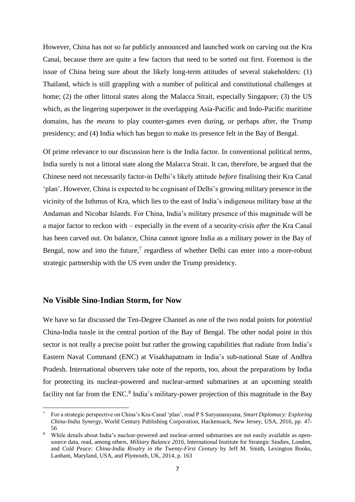However, China has not so far publicly announced and launched work on carving out the Kra Canal, because there are quite a few factors that need to be sorted out first. Foremost is the issue of China being sure about the likely long-term attitudes of several stakeholders: (1) Thailand, which is still grappling with a number of political and constitutional challenges at home; (2) the other littoral states along the Malacca Strait, especially Singapore; (3) the US which, as the lingering superpower in the overlapping Asia-Pacific and Indo-Pacific maritime domains, has the *means* to play counter-games even during, or perhaps after, the Trump presidency; and (4) India which has begun to make its presence felt in the Bay of Bengal.

Of prime relevance to our discussion here is the India factor. In conventional political terms, India surely is not a littoral state along the Malacca Strait. It can, therefore, be argued that the Chinese need not necessarily factor-in Delhi's likely attitude *before* finalising their Kra Canal 'plan'. However, China is expected to be cognisant of Delhi's growing military presence in the vicinity of the Isthmus of Kra, which lies to the east of India's indigenous military base at the Andaman and Nicobar Islands. For China, India's military presence of this magnitude will be a major factor to reckon with – especially in the event of a security-crisis *after* the Kra Canal has been carved out. On balance, China cannot ignore India as a military power in the Bay of Bengal, now and into the future,<sup>7</sup> regardless of whether Delhi can enter into a more-robust strategic partnership with the US even under the Trump presidency.

### **No Visible Sino-Indian Storm, for Now**

**.** 

We have so far discussed the Ten-Degree Channel as one of the two nodal points for *potential* China-India tussle in the central portion of the Bay of Bengal. The other nodal point in this sector is not really a precise point but rather the growing capabilities that radiate from India's Eastern Naval Command (ENC) at Visakhapatnam in India's sub-national State of Andhra Pradesh. International observers take note of the reports, too, about the preparations by India for protecting its nuclear-powered and nuclear-armed submarines at an upcoming stealth facility not far from the ENC.<sup>8</sup> India's military-power projection of this magnitude in the Bay

<sup>7</sup> For a strategic perspective on China's Kra-Canal 'plan', read P S Suryanarayana, *Smart Diplomacy: Exploring China-India Synergy*, World Century Publishing Corporation, Hackensack, New Jersey, USA, 2016, pp. 47- 56

While details about India's nuclear-powered and nuclear-armed submarines are not easily available as opensource data, read, among others, *Military Balance 2016*, International Institute for Strategic Studies, London, and *Cold Peace: China-India Rivalry in the Twenty-First Century* by Jeff M. Smith, Lexington Books, Lanham, Maryland, USA, and Plymouth, UK, 2014, p. 163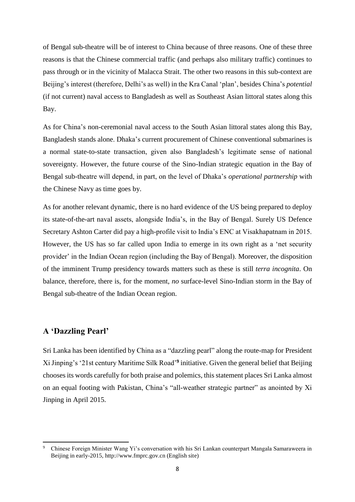of Bengal sub-theatre will be of interest to China because of three reasons. One of these three reasons is that the Chinese commercial traffic (and perhaps also military traffic) continues to pass through or in the vicinity of Malacca Strait. The other two reasons in this sub-context are Beijing's interest (therefore, Delhi's as well) in the Kra Canal 'plan', besides China's *potential* (if not current) naval access to Bangladesh as well as Southeast Asian littoral states along this Bay.

As for China's non-ceremonial naval access to the South Asian littoral states along this Bay, Bangladesh stands alone. Dhaka's current procurement of Chinese conventional submarines is a normal state-to-state transaction, given also Bangladesh's legitimate sense of national sovereignty. However, the future course of the Sino-Indian strategic equation in the Bay of Bengal sub-theatre will depend, in part, on the level of Dhaka's *operational partnership* with the Chinese Navy as time goes by.

As for another relevant dynamic, there is no hard evidence of the US being prepared to deploy its state-of-the-art naval assets, alongside India's, in the Bay of Bengal. Surely US Defence Secretary Ashton Carter did pay a high-profile visit to India's ENC at Visakhapatnam in 2015. However, the US has so far called upon India to emerge in its own right as a 'net security provider' in the Indian Ocean region (including the Bay of Bengal). Moreover, the disposition of the imminent Trump presidency towards matters such as these is still *terra incognita*. On balance, therefore, there is, for the moment, *no* surface-level Sino-Indian storm in the Bay of Bengal sub-theatre of the Indian Ocean region.

# **A 'Dazzling Pearl'**

Sri Lanka has been identified by China as a "dazzling pearl" along the route-map for President Xi Jinping's '21st century Maritime Silk Road'**<sup>9</sup>** initiative. Given the general belief that Beijing chooses its words carefully for both praise and polemics, this statement places Sri Lanka almost on an equal footing with Pakistan, China's "all-weather strategic partner" as anointed by Xi Jinping in April 2015.

 $\boldsymbol{9}$ <sup>9</sup> Chinese Foreign Minister Wang Yi's conversation with his Sri Lankan counterpart Mangala Samaraweera in Beijing in early-2015, http://www.fmprc.gov.cn (English site)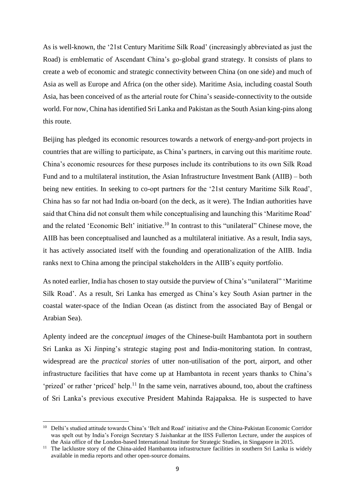As is well-known, the '21st Century Maritime Silk Road' (increasingly abbreviated as just the Road) is emblematic of Ascendant China's go-global grand strategy. It consists of plans to create a web of economic and strategic connectivity between China (on one side) and much of Asia as well as Europe and Africa (on the other side). Maritime Asia, including coastal South Asia, has been conceived of as the arterial route for China's seaside-connectivity to the outside world. For now, China has identified Sri Lanka and Pakistan as the South Asian king-pins along this route.

Beijing has pledged its economic resources towards a network of energy-and-port projects in countries that are willing to participate, as China's partners, in carving out this maritime route. China's economic resources for these purposes include its contributions to its own Silk Road Fund and to a multilateral institution, the Asian Infrastructure Investment Bank (AIIB) – both being new entities. In seeking to co-opt partners for the '21st century Maritime Silk Road', China has so far not had India on-board (on the deck, as it were). The Indian authorities have said that China did not consult them while conceptualising and launching this 'Maritime Road' and the related 'Economic Belt' initiative. <sup>10</sup> In contrast to this "unilateral" Chinese move, the AIIB has been conceptualised and launched as a multilateral initiative. As a result, India says, it has actively associated itself with the founding and operationalization of the AIIB. India ranks next to China among the principal stakeholders in the AIIB's equity portfolio.

As noted earlier, India has chosen to stay outside the purview of China's "unilateral" 'Maritime Silk Road'. As a result, Sri Lanka has emerged as China's key South Asian partner in the coastal water-space of the Indian Ocean (as distinct from the associated Bay of Bengal or Arabian Sea).

Aplenty indeed are the *conceptual images* of the Chinese-built Hambantota port in southern Sri Lanka as Xi Jinping's strategic staging post and India-monitoring station. In contrast, widespread are the *practical stories* of utter non-utilisation of the port, airport, and other infrastructure facilities that have come up at Hambantota in recent years thanks to China's 'prized' or rather 'priced' help.<sup>11</sup> In the same vein, narratives abound, too, about the craftiness of Sri Lanka's previous executive President Mahinda Rajapaksa. He is suspected to have

<sup>10</sup> Delhi's studied attitude towards China's 'Belt and Road' initiative and the China-Pakistan Economic Corridor was spelt out by India's Foreign Secretary S Jaishankar at the IISS Fullerton Lecture, under the auspices of the Asia office of the London-based International Institute for Strategic Studies, in Singapore in 2015.

<sup>&</sup>lt;sup>11</sup> The lacklustre story of the China-aided Hambantota infrastructure facilities in southern Sri Lanka is widely available in media reports and other open-source domains.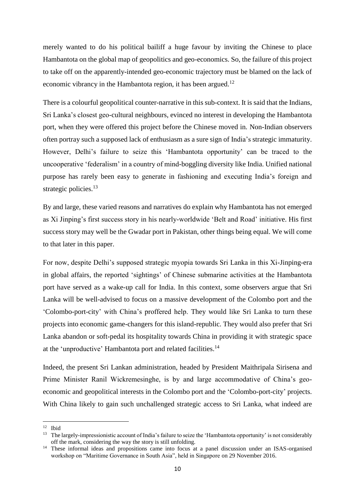merely wanted to do his political bailiff a huge favour by inviting the Chinese to place Hambantota on the global map of geopolitics and geo-economics. So, the failure of this project to take off on the apparently-intended geo-economic trajectory must be blamed on the lack of economic vibrancy in the Hambantota region, it has been argued.<sup>12</sup>

There is a colourful geopolitical counter-narrative in this sub-context. It is said that the Indians, Sri Lanka's closest geo-cultural neighbours, evinced no interest in developing the Hambantota port, when they were offered this project before the Chinese moved in. Non-Indian observers often portray such a supposed lack of enthusiasm as a sure sign of India's strategic immaturity. However, Delhi's failure to seize this 'Hambantota opportunity' can be traced to the uncooperative 'federalism' in a country of mind-boggling diversity like India. Unified national purpose has rarely been easy to generate in fashioning and executing India's foreign and strategic policies.<sup>13</sup>

By and large, these varied reasons and narratives do explain why Hambantota has not emerged as Xi Jinping's first success story in his nearly-worldwide 'Belt and Road' initiative. His first success story may well be the Gwadar port in Pakistan, other things being equal. We will come to that later in this paper.

For now, despite Delhi's supposed strategic myopia towards Sri Lanka in this Xi-Jinping-era in global affairs, the reported 'sightings' of Chinese submarine activities at the Hambantota port have served as a wake-up call for India. In this context, some observers argue that Sri Lanka will be well-advised to focus on a massive development of the Colombo port and the 'Colombo-port-city' with China's proffered help. They would like Sri Lanka to turn these projects into economic game-changers for this island-republic. They would also prefer that Sri Lanka abandon or soft-pedal its hospitality towards China in providing it with strategic space at the 'unproductive' Hambantota port and related facilities.<sup>14</sup>

Indeed, the present Sri Lankan administration, headed by President Maithripala Sirisena and Prime Minister Ranil Wickremesinghe, is by and large accommodative of China's geoeconomic and geopolitical interests in the Colombo port and the 'Colombo-port-city' projects. With China likely to gain such unchallenged strategic access to Sri Lanka, what indeed are

<sup>12</sup> Ibid

<sup>&</sup>lt;sup>13</sup> The largely-impressionistic account of India's failure to seize the 'Hambantota opportunity' is not considerably off the mark, considering the way the story is still unfolding.

<sup>&</sup>lt;sup>14</sup> These informal ideas and propositions came into focus at a panel discussion under an ISAS-organised workshop on "Maritime Governance in South Asia", held in Singapore on 29 November 2016.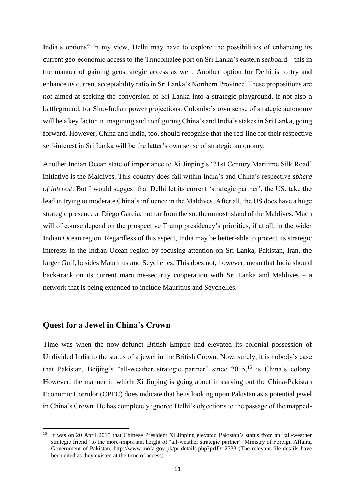India's options? In my view, Delhi may have to explore the possibilities of enhancing its current geo-economic access to the Trincomalee port on Sri Lanka's eastern seaboard – this in the manner of gaining geostrategic access as well. Another option for Delhi is to try and enhance its current acceptability ratio in Sri Lanka's Northern Province. These propositions are *not* aimed at seeking the conversion of Sri Lanka into a strategic playground, if not also a battleground, for Sino-Indian power projections. Colombo's own sense of strategic autonomy will be a key factor in imagining and configuring China's and India's stakes in Sri Lanka, going forward. However, China and India, too, should recognise that the red-line for their respective self-interest in Sri Lanka will be the latter's own sense of strategic autonomy.

Another Indian Ocean state of importance to Xi Jinping's '21st Century Maritime Silk Road' initiative is the Maldives. This country does fall within India's and China's respective *sphere of interest*. But I would suggest that Delhi let its current 'strategic partner', the US, take the lead in trying to moderate China's influence in the Maldives. After all, the US does have a huge strategic presence at Diego Garcia, not far from the southernmost island of the Maldives. Much will of course depend on the prospective Trump presidency's priorities, if at all, in the wider Indian Ocean region. Regardless of this aspect, India may be better-able to protect its strategic interests in the Indian Ocean region by focusing attention on Sri Lanka, Pakistan, Iran, the larger Gulf, besides Mauritius and Seychelles. This does not, however, mean that India should back-track on its current maritime-security cooperation with Sri Lanka and Maldives – a network that is being extended to include Mauritius and Seychelles.

## **Quest for a Jewel in China's Crown**

**.** 

Time was when the now-defunct British Empire had elevated its colonial possession of Undivided India to the status of a jewel in the British Crown. Now, surely, it is nobody's case that Pakistan, Beijing's "all-weather strategic partner" since  $2015$ , <sup>15</sup> is China's colony. However, the manner in which Xi Jinping is going about in carving out the China-Pakistan Economic Corridor (CPEC) does indicate that he is looking upon Pakistan as a potential jewel in China's Crown. He has completely ignored Delhi's objections to the passage of the mapped-

<sup>&</sup>lt;sup>15</sup> It was on 20 April 2015 that Chinese President Xi Jinping elevated Pakistan's status from an "all-weather strategic friend" to the more-important height of "all-weather strategic partner". Ministry of Foreign Affairs, Government of Pakistan, http://www.mofa.gov.pk/pr-details.php?prID=2733 (The relevant file details have been cited as they existed at the time of access)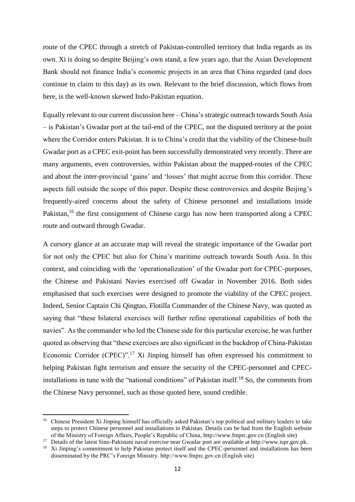route of the CPEC through a stretch of Pakistan-controlled territory that India regards as its own. Xi is doing so despite Beijing's own stand, a few years ago, that the Asian Development Bank should not finance India's economic projects in an area that China regarded (and does continue to claim to this day) as its own. Relevant to the brief discussion, which flows from here, is the well-known skewed Indo-Pakistan equation.

Equally relevant to our current discussion here – China's strategic outreach towards South Asia – is Pakistan's Gwadar port at the tail-end of the CPEC, not the disputed territory at the point where the Corridor enters Pakistan. It is to China's credit that the viability of the Chinese-built Gwadar port as a CPEC exit-point has been successfully demonstrated very recently. There are many arguments, even controversies, within Pakistan about the mapped-routes of the CPEC and about the inter-provincial 'gains' and 'losses' that might accrue from this corridor. These aspects fall outside the scope of this paper. Despite these controversies and despite Beijing's frequently-aired concerns about the safety of Chinese personnel and installations inside Pakistan,<sup>16</sup> the first consignment of Chinese cargo has now been transported along a CPEC route and outward through Gwadar.

A cursory glance at an accurate map will reveal the strategic importance of the Gwadar port for not only the CPEC but also for China's maritime outreach towards South Asia. In this context, and coinciding with the 'operationalization' of the Gwadar port for CPEC-purposes, the Chinese and Pakistani Navies exercised off Gwadar in November 2016. Both sides emphasised that such exercises were designed to promote the viability of the CPEC project. Indeed, Senior Captain Chi Qingtao, Flotilla Commander of the Chinese Navy, was quoted as saying that "these bilateral exercises will further refine operational capabilities of both the navies". As the commander who led the Chinese side for this particular exercise, he was further quoted as observing that "these exercises are also significant in the backdrop of China-Pakistan Economic Corridor (CPEC)".<sup>17</sup> Xi Jinping himself has often expressed his commitment to helping Pakistan fight terrorism and ensure the security of the CPEC-personnel and CPECinstallations in tune with the "national conditions" of Pakistan itself.<sup>18</sup> So, the comments from the Chinese Navy personnel, such as those quoted here, sound credible.

1

<sup>17</sup> Details of the latest Sino-Pakistani naval exercise near Gwadar port are available at http://www.ispr.gov.pk.

<sup>&</sup>lt;sup>16</sup> Chinese President Xi Jinping himself has officially asked Pakistan's top political and military leaders to take steps to protect Chinese personnel and installations in Pakistan. Details can be had from the English website of the Ministry of Foreign Affairs, People's Republic of China, http://www.fmprc.gov.cn (English site)

<sup>&</sup>lt;sup>18</sup> Xi Jinping's commitment to help Pakistan protect itself and the CPEC-personnel and installations has been disseminated by the PRC's Foreign Ministry. http://www.fmprc.gov.cn (English site)